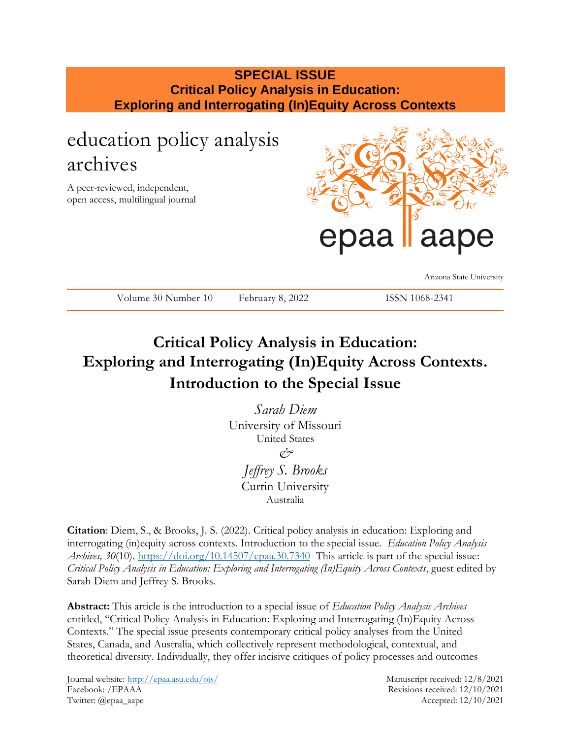## **SPECIAL ISSUE Critical Policy Analysis in Education: Exploring and Interrogating (In)Equity Across Contexts**

## education policy analysis archives

A peer-reviewed, independent, open access, multilingual journal



Arizona State University

### ISSN 1068-2341

## **Critical Policy Analysis in Education: Exploring and Interrogating (In)Equity Across Contexts. Introduction to the Special Issue**

*Sarah Diem* University of Missouri United States *& Jeffrey S. Brooks* Curtin University Australia

**Citation**: Diem, S., & Brooks, J. S. (2022). Critical policy analysis in education: Exploring and interrogating (in)equity across contexts. Introduction to the special issue. *Education Policy Analysis Archives, 30*(10).<https://doi.org/10.14507/epaa.30.7340> This article is part of the special issue: *Critical Policy Analysis in Education: Exploring and Interrogating (In)Equity Across Contexts*, guest edited by Sarah Diem and Jeffrey S. Brooks.

**Abstract:** This article is the introduction to a special issue of *Education Policy Analysis Archives* entitled, "Critical Policy Analysis in Education: Exploring and Interrogating (In)Equity Across Contexts." The special issue presents contemporary critical policy analyses from the United States, Canada, and Australia, which collectively represent methodological, contextual, and theoretical diversity. Individually, they offer incisive critiques of policy processes and outcomes

Journal website:<http://epaa.asu.edu/ojs/> Manuscript received: 12/8/2021 Facebook: /EPAAA Revisions received: 12/10/2021 Twitter: @epaa\_aape Accepted: 12/10/2021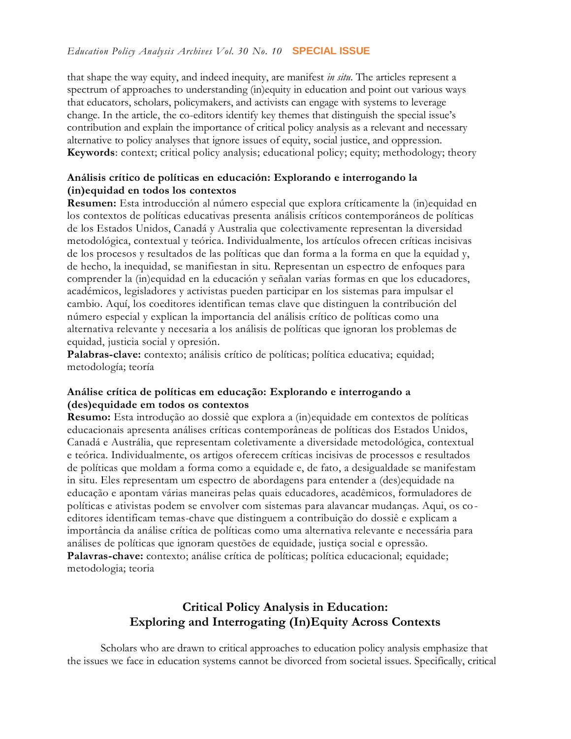#### *Education Policy Analysis Archives Vol. 30 No. 10* **SPECIAL ISSUE**

that shape the way equity, and indeed inequity, are manifest *in situ*. The articles represent a spectrum of approaches to understanding (in)equity in education and point out various ways that educators, scholars, policymakers, and activists can engage with systems to leverage change. In the article, the co-editors identify key themes that distinguish the special issue's contribution and explain the importance of critical policy analysis as a relevant and necessary alternative to policy analyses that ignore issues of equity, social justice, and oppression. **Keywords**: context; critical policy analysis; educational policy; equity; methodology; theory

#### **Análisis crítico de políticas en educación: Explorando e interrogando la (in)equidad en todos los contextos**

**Resumen:** Esta introducción al número especial que explora críticamente la (in)equidad en los contextos de políticas educativas presenta análisis críticos contemporáneos de políticas de los Estados Unidos, Canadá y Australia que colectivamente representan la diversidad metodológica, contextual y teórica. Individualmente, los artículos ofrecen críticas incisivas de los procesos y resultados de las políticas que dan forma a la forma en que la equidad y, de hecho, la inequidad, se manifiestan in situ. Representan un espectro de enfoques para comprender la (in)equidad en la educación y señalan varias formas en que los educadores, académicos, legisladores y activistas pueden participar en los sistemas para impulsar el cambio. Aquí, los coeditores identifican temas clave que distinguen la contribución del número especial y explican la importancia del análisis crítico de políticas como una alternativa relevante y necesaria a los análisis de políticas que ignoran los problemas de equidad, justicia social y opresión.

Palabras-clave: contexto; análisis crítico de políticas; política educativa; equidad; metodología; teoría

#### **Análise crítica de políticas em educação: Explorando e interrogando a (des)equidade em todos os contextos**

**Resumo:** Esta introdução ao dossiê que explora a (in)equidade em contextos de políticas educacionais apresenta análises críticas contemporâneas de políticas dos Estados Unidos, Canadá e Austrália, que representam coletivamente a diversidade metodológica, contextual e teórica. Individualmente, os artigos oferecem críticas incisivas de processos e resultados de políticas que moldam a forma como a equidade e, de fato, a desigualdade se manifestam in situ. Eles representam um espectro de abordagens para entender a (des)equidade na educação e apontam várias maneiras pelas quais educadores, acadêmicos, formuladores de políticas e ativistas podem se envolver com sistemas para alavancar mudanças. Aqui, os coeditores identificam temas-chave que distinguem a contribuição do dossiê e explicam a importância da análise crítica de políticas como uma alternativa relevante e necessária para análises de políticas que ignoram questões de equidade, justiça social e opressão. Palavras-chave: contexto; análise crítica de políticas; política educacional; equidade; metodologia; teoria

### **Critical Policy Analysis in Education: Exploring and Interrogating (In)Equity Across Contexts**

Scholars who are drawn to critical approaches to education policy analysis emphasize that the issues we face in education systems cannot be divorced from societal issues. Specifically, critical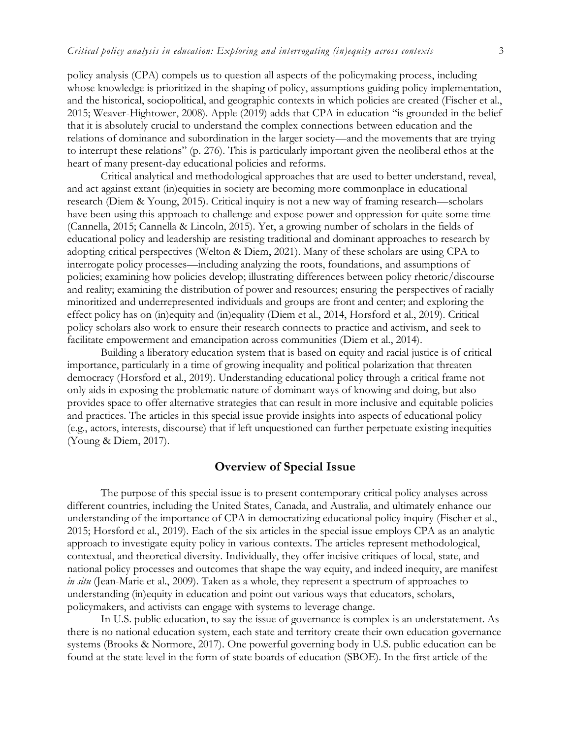policy analysis (CPA) compels us to question all aspects of the policymaking process, including whose knowledge is prioritized in the shaping of policy, assumptions guiding policy implementation, and the historical, sociopolitical, and geographic contexts in which policies are created (Fischer et al., 2015; Weaver-Hightower, 2008). Apple (2019) adds that CPA in education "is grounded in the belief that it is absolutely crucial to understand the complex connections between education and the relations of dominance and subordination in the larger society—and the movements that are trying to interrupt these relations" (p. 276). This is particularly important given the neoliberal ethos at the heart of many present-day educational policies and reforms.

Critical analytical and methodological approaches that are used to better understand, reveal, and act against extant (in)equities in society are becoming more commonplace in educational research (Diem & Young, 2015). Critical inquiry is not a new way of framing research—scholars have been using this approach to challenge and expose power and oppression for quite some time (Cannella, 2015; Cannella & Lincoln, 2015). Yet, a growing number of scholars in the fields of educational policy and leadership are resisting traditional and dominant approaches to research by adopting critical perspectives (Welton & Diem, 2021). Many of these scholars are using CPA to interrogate policy processes—including analyzing the roots, foundations, and assumptions of policies; examining how policies develop; illustrating differences between policy rhetoric/discourse and reality; examining the distribution of power and resources; ensuring the perspectives of racially minoritized and underrepresented individuals and groups are front and center; and exploring the effect policy has on (in)equity and (in)equality (Diem et al., 2014, Horsford et al., 2019). Critical policy scholars also work to ensure their research connects to practice and activism, and seek to facilitate empowerment and emancipation across communities (Diem et al., 2014).

Building a liberatory education system that is based on equity and racial justice is of critical importance, particularly in a time of growing inequality and political polarization that threaten democracy (Horsford et al., 2019). Understanding educational policy through a critical frame not only aids in exposing the problematic nature of dominant ways of knowing and doing, but also provides space to offer alternative strategies that can result in more inclusive and equitable policies and practices. The articles in this special issue provide insights into aspects of educational policy (e.g., actors, interests, discourse) that if left unquestioned can further perpetuate existing inequities (Young & Diem, 2017).

#### **Overview of Special Issue**

The purpose of this special issue is to present contemporary critical policy analyses across different countries, including the United States, Canada, and Australia, and ultimately enhance our understanding of the importance of CPA in democratizing educational policy inquiry (Fischer et al., 2015; Horsford et al., 2019). Each of the six articles in the special issue employs CPA as an analytic approach to investigate equity policy in various contexts. The articles represent methodological, contextual, and theoretical diversity. Individually, they offer incisive critiques of local, state, and national policy processes and outcomes that shape the way equity, and indeed inequity, are manifest *in situ* (Jean-Marie et al., 2009). Taken as a whole, they represent a spectrum of approaches to understanding (in)equity in education and point out various ways that educators, scholars, policymakers, and activists can engage with systems to leverage change.

In U.S. public education, to say the issue of governance is complex is an understatement. As there is no national education system, each state and territory create their own education governance systems (Brooks & Normore, 2017). One powerful governing body in U.S. public education can be found at the state level in the form of state boards of education (SBOE). In the first article of the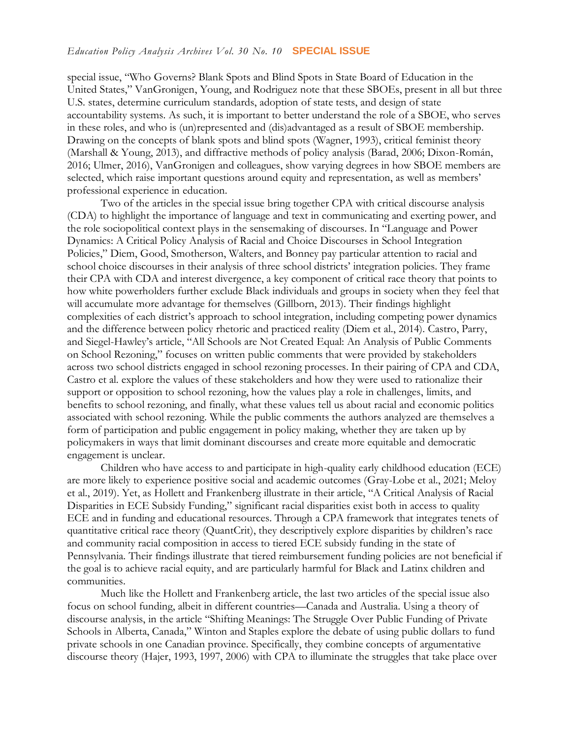#### *Education Policy Analysis Archives Vol. 30 No. 10* **SPECIAL ISSUE**

special issue, "Who Governs? Blank Spots and Blind Spots in State Board of Education in the United States," VanGronigen, Young, and Rodriguez note that these SBOEs, present in all but three U.S. states, determine curriculum standards, adoption of state tests, and design of state accountability systems. As such, it is important to better understand the role of a SBOE, who serves in these roles, and who is (un)represented and (dis)advantaged as a result of SBOE membership. Drawing on the concepts of blank spots and blind spots (Wagner, 1993), critical feminist theory (Marshall & Young, 2013), and diffractive methods of policy analysis (Barad, 2006; Dixon-Román, 2016; Ulmer, 2016), VanGronigen and colleagues, show varying degrees in how SBOE members are selected, which raise important questions around equity and representation, as well as members' professional experience in education.

Two of the articles in the special issue bring together CPA with critical discourse analysis (CDA) to highlight the importance of language and text in communicating and exerting power, and the role sociopolitical context plays in the sensemaking of discourses. In "Language and Power Dynamics: A Critical Policy Analysis of Racial and Choice Discourses in School Integration Policies," Diem, Good, Smotherson, Walters, and Bonney pay particular attention to racial and school choice discourses in their analysis of three school districts' integration policies. They frame their CPA with CDA and interest divergence, a key component of critical race theory that points to how white powerholders further exclude Black individuals and groups in society when they feel that will accumulate more advantage for themselves (Gillborn, 2013). Their findings highlight complexities of each district's approach to school integration, including competing power dynamics and the difference between policy rhetoric and practiced reality (Diem et al., 2014). Castro, Parry, and Siegel-Hawley's article, "All Schools are Not Created Equal: An Analysis of Public Comments on School Rezoning," focuses on written public comments that were provided by stakeholders across two school districts engaged in school rezoning processes. In their pairing of CPA and CDA, Castro et al. explore the values of these stakeholders and how they were used to rationalize their support or opposition to school rezoning, how the values play a role in challenges, limits, and benefits to school rezoning, and finally, what these values tell us about racial and economic politics associated with school rezoning. While the public comments the authors analyzed are themselves a form of participation and public engagement in policy making, whether they are taken up by policymakers in ways that limit dominant discourses and create more equitable and democratic engagement is unclear.

Children who have access to and participate in high-quality early childhood education (ECE) are more likely to experience positive social and academic outcomes (Gray-Lobe et al., 2021; Meloy et al., 2019). Yet, as Hollett and Frankenberg illustrate in their article, "A Critical Analysis of Racial Disparities in ECE Subsidy Funding," significant racial disparities exist both in access to quality ECE and in funding and educational resources. Through a CPA framework that integrates tenets of quantitative critical race theory (QuantCrit), they descriptively explore disparities by children's race and community racial composition in access to tiered ECE subsidy funding in the state of Pennsylvania. Their findings illustrate that tiered reimbursement funding policies are not beneficial if the goal is to achieve racial equity, and are particularly harmful for Black and Latinx children and communities.

Much like the Hollett and Frankenberg article, the last two articles of the special issue also focus on school funding, albeit in different countries—Canada and Australia. Using a theory of discourse analysis, in the article "Shifting Meanings: The Struggle Over Public Funding of Private Schools in Alberta, Canada," Winton and Staples explore the debate of using public dollars to fund private schools in one Canadian province. Specifically, they combine concepts of argumentative discourse theory (Hajer, 1993, 1997, 2006) with CPA to illuminate the struggles that take place over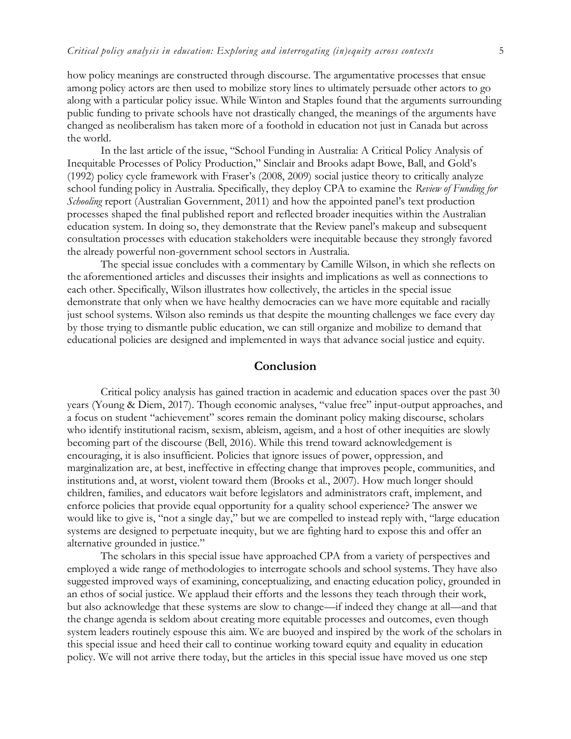how policy meanings are constructed through discourse. The argumentative processes that ensue among policy actors are then used to mobilize story lines to ultimately persuade other actors to go along with a particular policy issue. While Winton and Staples found that the arguments surrounding public funding to private schools have not drastically changed, the meanings of the arguments have changed as neoliberalism has taken more of a foothold in education not just in Canada but across the world.

In the last article of the issue, "School Funding in Australia: A Critical Policy Analysis of Inequitable Processes of Policy Production," Sinclair and Brooks adapt Bowe, Ball, and Gold's (1992) policy cycle framework with Fraser's (2008, 2009) social justice theory to critically analyze school funding policy in Australia. Specifically, they deploy CPA to examine the *Review of Funding for Schooling* report (Australian Government, 2011) and how the appointed panel's text production processes shaped the final published report and reflected broader inequities within the Australian education system. In doing so, they demonstrate that the Review panel's makeup and subsequent consultation processes with education stakeholders were inequitable because they strongly favored the already powerful non-government school sectors in Australia.

The special issue concludes with a commentary by Camille Wilson, in which she reflects on the aforementioned articles and discusses their insights and implications as well as connections to each other. Specifically, Wilson illustrates how collectively, the articles in the special issue demonstrate that only when we have healthy democracies can we have more equitable and racially just school systems. Wilson also reminds us that despite the mounting challenges we face every day by those trying to dismantle public education, we can still organize and mobilize to demand that educational policies are designed and implemented in ways that advance social justice and equity.

#### **Conclusion**

Critical policy analysis has gained traction in academic and education spaces over the past 30 years (Young & Diem, 2017). Though economic analyses, "value free" input-output approaches, and a focus on student "achievement" scores remain the dominant policy making discourse, scholars who identify institutional racism, sexism, ableism, ageism, and a host of other inequities are slowly becoming part of the discourse (Bell, 2016). While this trend toward acknowledgement is encouraging, it is also insufficient. Policies that ignore issues of power, oppression, and marginalization are, at best, ineffective in effecting change that improves people, communities, and institutions and, at worst, violent toward them (Brooks et al., 2007). How much longer should children, families, and educators wait before legislators and administrators craft, implement, and enforce policies that provide equal opportunity for a quality school experience? The answer we would like to give is, "not a single day," but we are compelled to instead reply with, "large education systems are designed to perpetuate inequity, but we are fighting hard to expose this and offer an alternative grounded in justice."

The scholars in this special issue have approached CPA from a variety of perspectives and employed a wide range of methodologies to interrogate schools and school systems. They have also suggested improved ways of examining, conceptualizing, and enacting education policy, grounded in an ethos of social justice. We applaud their efforts and the lessons they teach through their work, but also acknowledge that these systems are slow to change—if indeed they change at all—and that the change agenda is seldom about creating more equitable processes and outcomes, even though system leaders routinely espouse this aim. We are buoyed and inspired by the work of the scholars in this special issue and heed their call to continue working toward equity and equality in education policy. We will not arrive there today, but the articles in this special issue have moved us one step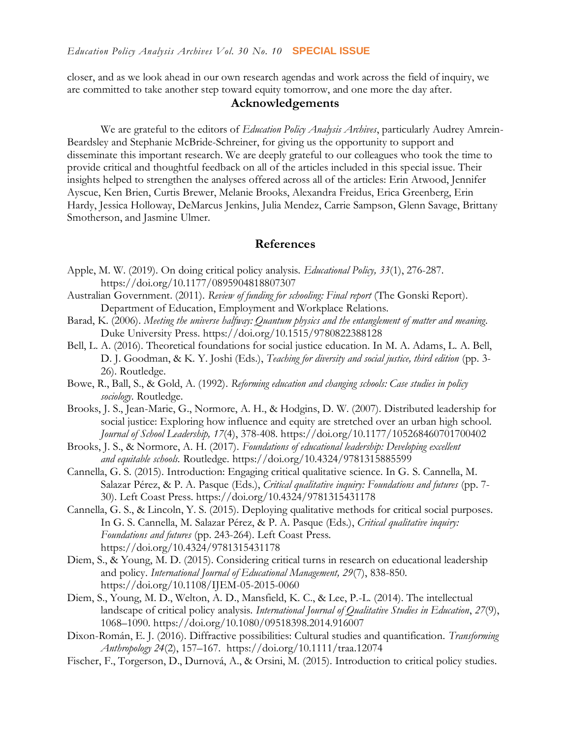closer, and as we look ahead in our own research agendas and work across the field of inquiry, we are committed to take another step toward equity tomorrow, and one more the day after.

#### **Acknowledgements**

We are grateful to the editors of *Education Policy Analysis Archives*, particularly Audrey Amrein-Beardsley and Stephanie McBride-Schreiner, for giving us the opportunity to support and disseminate this important research. We are deeply grateful to our colleagues who took the time to provide critical and thoughtful feedback on all of the articles included in this special issue. Their insights helped to strengthen the analyses offered across all of the articles: Erin Atwood, Jennifer Ayscue, Ken Brien, Curtis Brewer, Melanie Brooks, Alexandra Freidus, Erica Greenberg, Erin Hardy, Jessica Holloway, DeMarcus Jenkins, Julia Mendez, Carrie Sampson, Glenn Savage, Brittany Smotherson, and Jasmine Ulmer.

#### **References**

- Apple, M. W. (2019). On doing critical policy analysis. *Educational Policy, 33*(1), 276-287. [https://doi.org/10.1177/0895904818807307](https://doi.org/10.1177%2F0895904818807307)
- Australian Government. (2011). *Review of funding for schooling: Final report* (The Gonski Report). Department of Education, Employment and Workplace Relations.
- Barad, K. (2006). *Meeting the universe halfway: Quantum physics and the entanglement of matter and meaning*. Duke University Press. <https://doi.org/10.1515/9780822388128>
- Bell, L. A. (2016). Theoretical foundations for social justice education. In M. A. Adams, L. A. Bell, D. J. Goodman, & K. Y. Joshi (Eds.), *Teaching for diversity and social justice, third edition* (pp. 3- 26). Routledge.
- Bowe, R., Ball, S., & Gold, A. (1992). *Reforming education and changing schools: Case studies in policy sociology*. Routledge.
- Brooks, J. S., Jean-Marie, G., Normore, A. H., & Hodgins, D. W. (2007). Distributed leadership for social justice: Exploring how influence and equity are stretched over an urban high school. *Journal of School Leadership, 17*(4), 378-408. [https://doi.org/10.1177/105268460701700402](https://doi.org/10.1177%2F105268460701700402)
- Brooks, J. S., & Normore, A. H. (2017). *Foundations of educational leadership: Developing excellent and equitable schools.* Routledge. <https://doi.org/10.4324/9781315885599>
- Cannella, G. S. (2015). Introduction: Engaging critical qualitative science. In G. S. Cannella, M. Salazar Pérez, & P. A. Pasque (Eds.), *Critical qualitative inquiry: Foundations and futures* (pp. 7- 30). Left Coast Press. <https://doi.org/10.4324/9781315431178>
- Cannella, G. S., & Lincoln, Y. S. (2015). Deploying qualitative methods for critical social purposes. In G. S. Cannella, M. Salazar Pérez, & P. A. Pasque (Eds.), *Critical qualitative inquiry: Foundations and futures* (pp. 243-264). Left Coast Press. <https://doi.org/10.4324/9781315431178>
- Diem, S., & Young, M. D. (2015). Considering critical turns in research on educational leadership and policy. *International Journal of Educational Management, 29*(7), 838-850. <https://doi.org/10.1108/IJEM-05-2015-0060>
- Diem, S., Young, M. D., Welton, A. D., Mansfield, K. C., & Lee, P.-L. (2014). The intellectual landscape of critical policy analysis. *International Journal of Qualitative Studies in Education*, *27*(9), 1068–1090.<https://doi.org/10.1080/09518398.2014.916007>
- Dixon-Román, E. J. (2016). Diffractive possibilities: Cultural studies and quantification. *Transforming Anthropology 24*(2), 157–167. <https://doi.org/10.1111/traa.12074>
- Fischer, F., Torgerson, D., Durnová, A., & Orsini, M. (2015). Introduction to critical policy studies.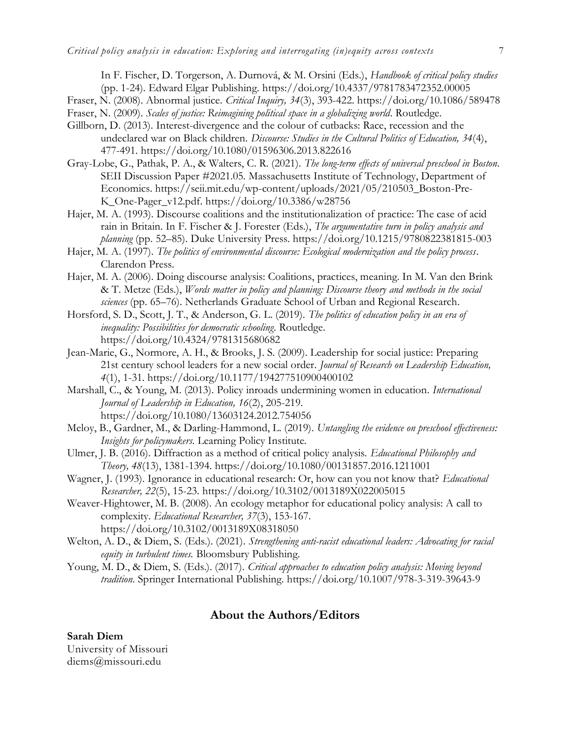In F. Fischer, D. Torgerson, A. Durnová, & M. Orsini (Eds.), *Handbook of critical policy studies*  (pp. 1-24)*.* Edward Elgar Publishing. <https://doi.org/10.4337/9781783472352.00005>

- Fraser, N. (2008). Abnormal justice. *Critical Inquiry, 34*(3), 393-422.<https://doi.org/10.1086/589478>
- Fraser, N. (2009). *Scales of justice: Reimagining political space in a globalizing world*. Routledge.
- Gillborn, D. (2013). Interest-divergence and the colour of cutbacks: Race, recession and the undeclared war on Black children. *Discourse: Studies in the Cultural Politics of Education, 34*(4), 477-491.<https://doi.org/10.1080/01596306.2013.822616>
- Gray-Lobe, G., Pathak, P. A., & Walters, C. R. (2021). *The long-term effects of universal preschool in Boston*. SEII Discussion Paper #2021.05. Massachusetts Institute of Technology, Department of Economics. [https://seii.mit.edu/wp-content/uploads/2021/05/210503\\_Boston-Pre-](https://seii.mit.edu/wp-content/uploads/2021/05/210503_Boston-Pre-K_One-Pager_v12.pdf)[K\\_One-Pager\\_v12.pdf.](https://seii.mit.edu/wp-content/uploads/2021/05/210503_Boston-Pre-K_One-Pager_v12.pdf)<https://doi.org/10.3386/w28756>
- Hajer, M. A. (1993). Discourse coalitions and the institutionalization of practice: The case of acid rain in Britain. In F. Fischer & J. Forester (Eds.), *The argumentative turn in policy analysis and planning* (pp. 52–85). Duke University Press. <https://doi.org/10.1215/9780822381815-003>
- Hajer, M. A. (1997). *The politics of environmental discourse: Ecological modernization and the policy process*. Clarendon Press.
- Hajer, M. A. (2006). Doing discourse analysis: Coalitions, practices, meaning. In M. Van den Brink & T. Metze (Eds.), *Words matter in policy and planning: Discourse theory and methods in the social sciences* (pp. 65–76). Netherlands Graduate School of Urban and Regional Research.
- Horsford, S. D., Scott, J. T., & Anderson, G. L. (2019). *The politics of education policy in an era of inequality: Possibilities for democratic schooling*. Routledge. <https://doi.org/10.4324/9781315680682>
- Jean-Marie, G., Normore, A. H., & Brooks, J. S. (2009). Leadership for social justice: Preparing 21st century school leaders for a new social order. *Journal of Research on Leadership Education, 4*(1), 1-31. [https://doi.org/10.1177/194277510900400102](https://doi.org/10.1177%2F194277510900400102)
- Marshall, C., & Young, M. (2013). Policy inroads undermining women in education. *International Journal of Leadership in Education, 16*(2), 205-219. <https://doi.org/10.1080/13603124.2012.754056>
- Meloy, B., Gardner, M., & Darling-Hammond, L. (2019). *Untangling the evidence on preschool effectiveness: Insights for policymakers.* Learning Policy Institute.
- Ulmer, J. B. (2016). Diffraction as a method of critical policy analysis. *Educational Philosophy and Theory, 48*(13), 1381-1394.<https://doi.org/10.1080/00131857.2016.1211001>
- Wagner, J. (1993). Ignorance in educational research: Or, how can you not know that? *Educational Researcher, 22*(5), 15-23. [https://doi.org/10.3102/0013189X022005015](https://doi.org/10.3102%2F0013189X022005015)
- Weaver-Hightower, M. B. (2008). An ecology metaphor for educational policy analysis: A call to complexity. *Educational Researcher, 37*(3), 153-167. [https://doi.org/10.3102/0013189X08318050](https://doi.org/10.3102%2F0013189X08318050)
- Welton, A. D., & Diem, S. (Eds.). (2021). *Strengthening anti-racist educational leaders: Advocating for racial equity in turbulent times.* Bloomsbury Publishing.
- Young, M. D., & Diem, S. (Eds.). (2017). *Critical approaches to education policy analysis: Moving beyond tradition*. Springer International Publishing. <https://doi.org/10.1007/978-3-319-39643-9>

#### **About the Authors/Editors**

#### **Sarah Diem** University of Missouri diems@missouri.edu